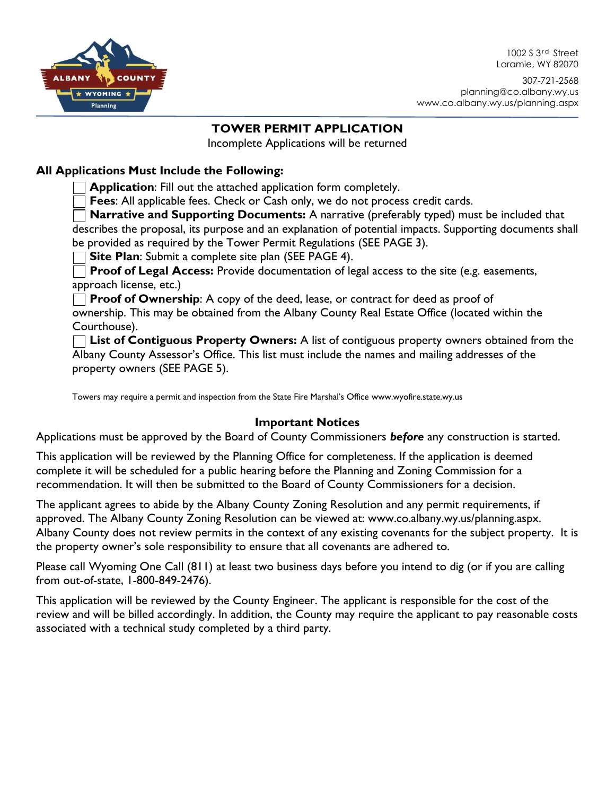1002 S 3<sup>rd</sup> Street Laramie, WY 82070



307-721-2568 planning@co.albany.wy.us www.co.albany.wy.us/planning.aspx

## **TOWER PERMIT APPLICATION**

Incomplete Applications will be returned

## **All Applications Must Include the Following:**

**Application**: Fill out the attached application form completely.

**Fees**: All applicable fees. Check or Cash only, we do not process credit cards.

**Narrative and Supporting Documents:** A narrative (preferably typed) must be included that describes the proposal, its purpose and an explanation of potential impacts. Supporting documents shall be provided as required by the Tower Permit Regulations (SEE PAGE 3).

**Site Plan:** Submit a complete site plan (SEE PAGE 4).

**Proof of Legal Access:** Provide documentation of legal access to the site (e.g. easements, approach license, etc.)

**Proof of Ownership:** A copy of the deed, lease, or contract for deed as proof of

ownership. This may be obtained from the Albany County Real Estate Office (located within the Courthouse).

**List of Contiguous Property Owners:** A list of contiguous property owners obtained from the Albany County Assessor's Office. This list must include the names and mailing addresses of the property owners (SEE PAGE 5).

Towers may require a permit and inspection from the State Fire Marshal's Office www.wyofire.state.wy.us

## **Important Notices**

Applications must be approved by the Board of County Commissioners *before* any construction is started.

This application will be reviewed by the Planning Office for completeness. If the application is deemed complete it will be scheduled for a public hearing before the Planning and Zoning Commission for a recommendation. It will then be submitted to the Board of County Commissioners for a decision.

The applicant agrees to abide by the Albany County Zoning Resolution and any permit requirements, if approved. The Albany County Zoning Resolution can be viewed at: www.co.albany.wy.us/planning.aspx. Albany County does not review permits in the context of any existing covenants for the subject property. It is the property owner's sole responsibility to ensure that all covenants are adhered to.

Please call Wyoming One Call (811) at least two business days before you intend to dig (or if you are calling from out-of-state, 1-800-849-2476).

This application will be reviewed by the County Engineer. The applicant is responsible for the cost of the review and will be billed accordingly. In addition, the County may require the applicant to pay reasonable costs associated with a technical study completed by a third party.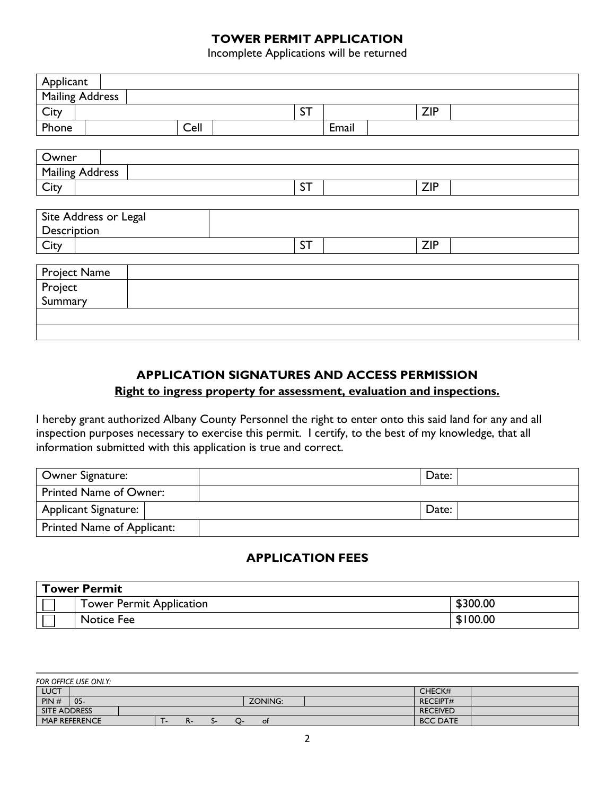### **TOWER PERMIT APPLICATION**

Incomplete Applications will be returned

| Applicant              |      |           |            |  |  |  |
|------------------------|------|-----------|------------|--|--|--|
| <b>Mailing Address</b> |      |           |            |  |  |  |
| City                   |      | <b>ST</b> | <b>ZIP</b> |  |  |  |
| Phone                  | Cell | Email     |            |  |  |  |
|                        |      |           |            |  |  |  |
| Owner                  |      |           |            |  |  |  |
| <b>Mailing Address</b> |      |           |            |  |  |  |
| City                   |      | <b>ST</b> | <b>ZIP</b> |  |  |  |
|                        |      |           |            |  |  |  |
| Site Address or Legal  |      |           |            |  |  |  |
| Description            |      |           |            |  |  |  |
| City                   |      | <b>ST</b> | <b>ZIP</b> |  |  |  |
|                        |      |           |            |  |  |  |
| Project Name           |      |           |            |  |  |  |
| Project                |      |           |            |  |  |  |
| Summary                |      |           |            |  |  |  |
|                        |      |           |            |  |  |  |
|                        |      |           |            |  |  |  |

## **APPLICATION SIGNATURES AND ACCESS PERMISSION**

## **Right to ingress property for assessment, evaluation and inspections.**

I hereby grant authorized Albany County Personnel the right to enter onto this said land for any and all inspection purposes necessary to exercise this permit. I certify, to the best of my knowledge, that all information submitted with this application is true and correct.

| Owner Signature:              | Date: |
|-------------------------------|-------|
| <b>Printed Name of Owner:</b> |       |
| Applicant Signature:          | Date: |
| Printed Name of Applicant:    |       |

#### **APPLICATION FEES**

| <b>Tower Permit</b> |                          |          |  |
|---------------------|--------------------------|----------|--|
|                     | Tower Permit Application | \$300.00 |  |
|                     | Notice Fee               | \$100.00 |  |

| FOR OFFICE USE ONLY: |          |                 |  |  |  |  |  |  |
|----------------------|----------|-----------------|--|--|--|--|--|--|
| LUCT                 |          | CHECK#          |  |  |  |  |  |  |
| PIN#<br>$05 -$       | ZONING:  | <b>RECEIPT#</b> |  |  |  |  |  |  |
| <b>SITE ADDRESS</b>  |          | <b>RECEIVED</b> |  |  |  |  |  |  |
| <b>MAP REFERENCE</b> | Οt<br>r. | <b>BCC DATE</b> |  |  |  |  |  |  |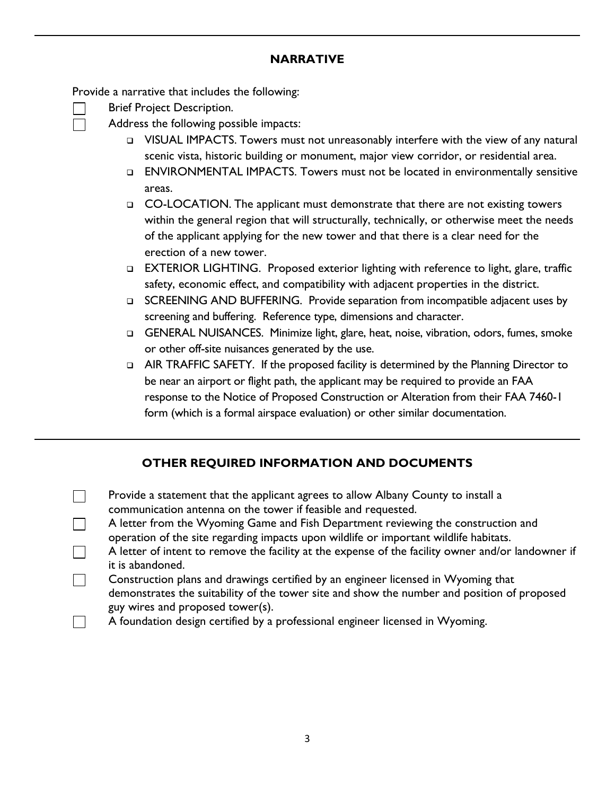#### **NARRATIVE**

Provide a narrative that includes the following:

- Brief Project Description.
	- Address the following possible impacts:
		- ❑ VISUAL IMPACTS. Towers must not unreasonably interfere with the view of any natural scenic vista, historic building or monument, major view corridor, or residential area.
		- ❑ ENVIRONMENTAL IMPACTS. Towers must not be located in environmentally sensitive areas.
		- ❑ CO-LOCATION. The applicant must demonstrate that there are not existing towers within the general region that will structurally, technically, or otherwise meet the needs of the applicant applying for the new tower and that there is a clear need for the erection of a new tower.
		- ❑ EXTERIOR LIGHTING. Proposed exterior lighting with reference to light, glare, traffic safety, economic effect, and compatibility with adjacent properties in the district.
		- ❑ SCREENING AND BUFFERING. Provide separation from incompatible adjacent uses by screening and buffering. Reference type, dimensions and character.
		- ❑ GENERAL NUISANCES. Minimize light, glare, heat, noise, vibration, odors, fumes, smoke or other off-site nuisances generated by the use.
		- ❑ AIR TRAFFIC SAFETY. If the proposed facility is determined by the Planning Director to be near an airport or flight path, the applicant may be required to provide an FAA response to the Notice of Proposed Construction or Alteration from their FAA 7460-1 form (which is a formal airspace evaluation) or other similar documentation.

# **OTHER REQUIRED INFORMATION AND DOCUMENTS**

- $\Box$  Provide a statement that the applicant agrees to allow Albany County to install a communication antenna on the tower if feasible and requested.
- $\Box$ A letter from the Wyoming Game and Fish Department reviewing the construction and operation of the site regarding impacts upon wildlife or important wildlife habitats.
	- A letter of intent to remove the facility at the expense of the facility owner and/or landowner if it is abandoned.
- Construction plans and drawings certified by an engineer licensed in Wyoming that  $\Box$ demonstrates the suitability of the tower site and show the number and position of proposed guy wires and proposed tower(s).
- A foundation design certified by a professional engineer licensed in Wyoming. $\blacksquare$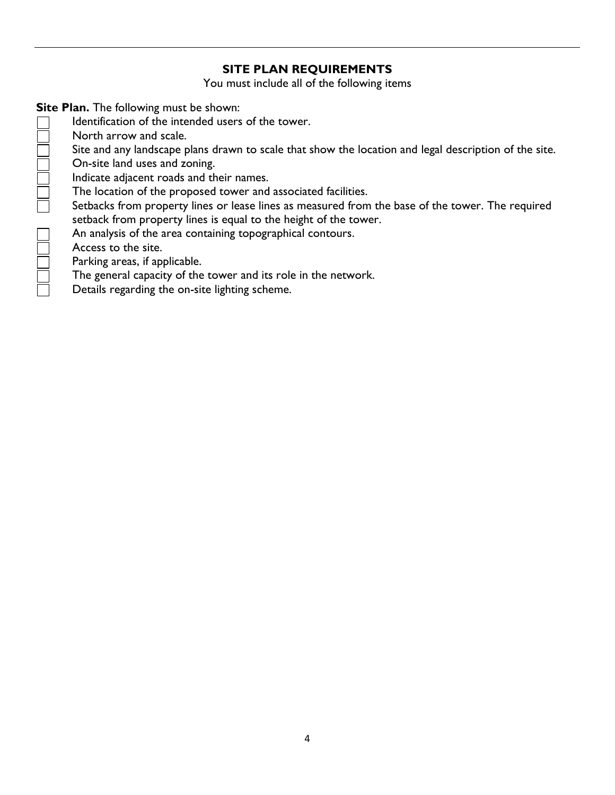## **SITE PLAN REQUIREMENTS**

You must include all of the following items

**Site Plan.** The following must be shown:

- Identification of the intended users of the tower.
- North arrow and scale.
- Site and any landscape plans drawn to scale that show the location and legal description of the site.
- On-site land uses and zoning.
	- Indicate adjacent roads and their names.
	- The location of the proposed tower and associated facilities.
	- Setbacks from property lines or lease lines as measured from the base of the tower. The required setback from property lines is equal to the height of the tower.
- **NOCOLO CICICI** An analysis of the area containing topographical contours.
	- Access to the site.
	- Parking areas, if applicable.
		- The general capacity of the tower and its role in the network.
		- Details regarding the on-site lighting scheme.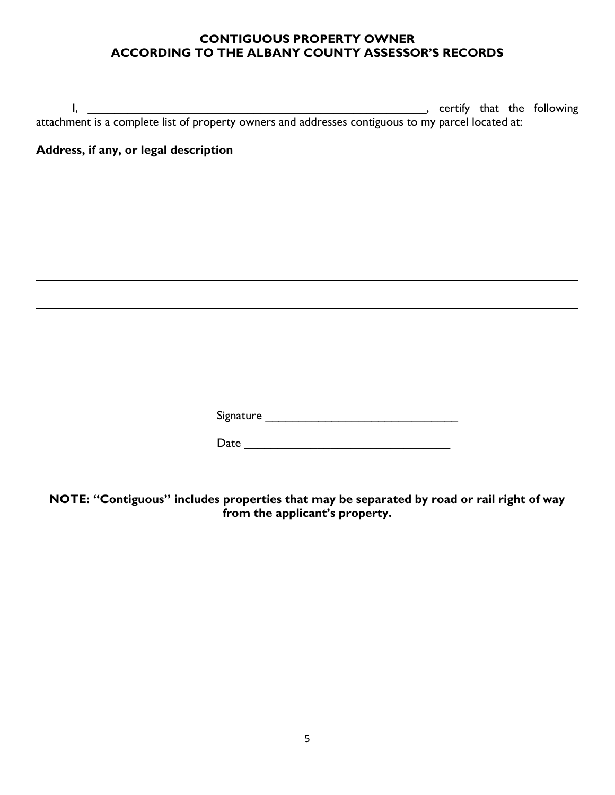### **CONTIGUOUS PROPERTY OWNER ACCORDING TO THE ALBANY COUNTY ASSESSOR'S RECORDS**

| Address, if any, or legal description |  |  |  |  |
|---------------------------------------|--|--|--|--|
|                                       |  |  |  |  |
|                                       |  |  |  |  |
|                                       |  |  |  |  |
|                                       |  |  |  |  |
|                                       |  |  |  |  |
|                                       |  |  |  |  |
|                                       |  |  |  |  |
|                                       |  |  |  |  |
|                                       |  |  |  |  |
|                                       |  |  |  |  |
|                                       |  |  |  |  |
|                                       |  |  |  |  |

**NOTE: "Contiguous" includes properties that may be separated by road or rail right of way from the applicant's property.**